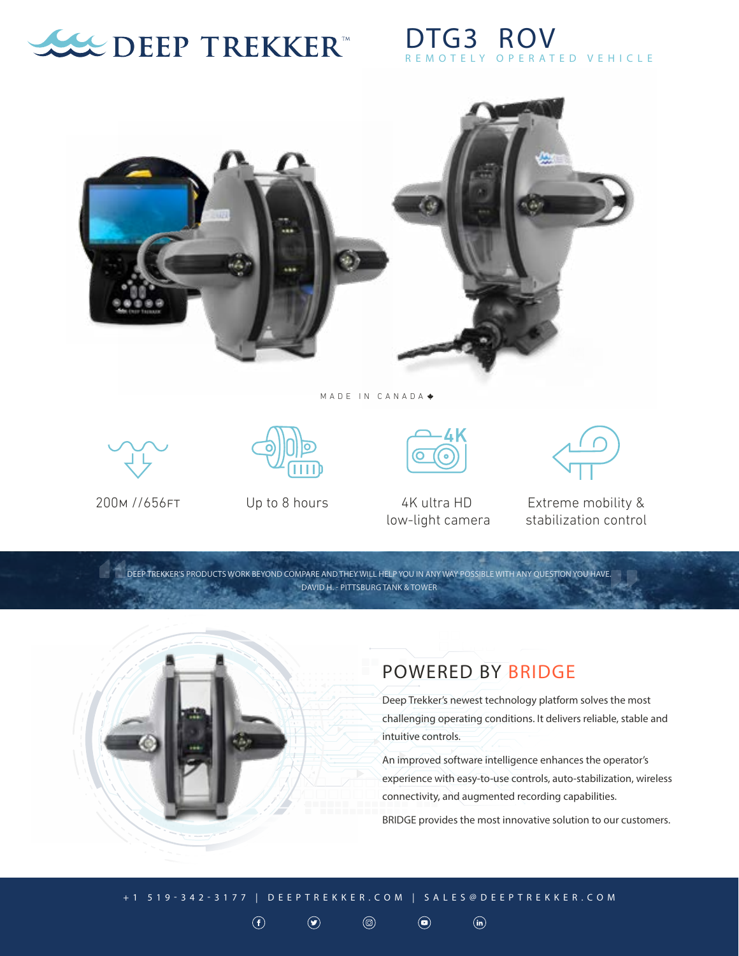

## **TG3 ROV** ELY OPERATED VEHICLE



An improved software intelligence enhances the operator's experience with easy-to-use controls, auto-stabilization, wireless connectivity, and augmented recording capabilities.

BRIDGE provides the most innovative solution to our customers.

+1 519-342-3177 | DEEPTREKKER.COM | SALES@DEEPTREKKER.COM

 $^{\circledR}$ 

 $\textcircled{\textcolor{red}{\bullet}}$ 

 $\odot$ 

 $\odot$ 

 $\odot$